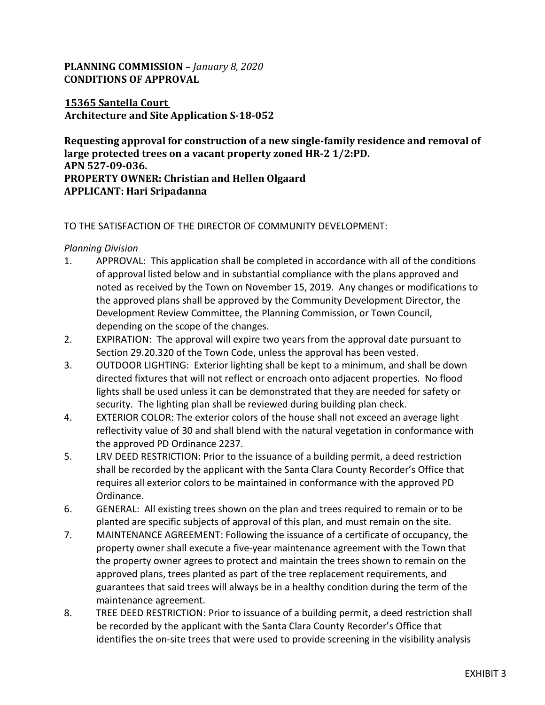# **PLANNING COMMISSION –** *January 8, 2020* **CONDITIONS OF APPROVAL**

### **15365 Santella Court Architecture and Site Application S-18-052**

**Requesting approval for construction of a new single-family residence and removal of large protected trees on a vacant property zoned HR-2 1/2:PD. APN 527-09-036. PROPERTY OWNER: Christian and Hellen Olgaard APPLICANT: Hari Sripadanna** 

#### TO THE SATISFACTION OF THE DIRECTOR OF COMMUNITY DEVELOPMENT:

*Planning Division* 

- 1. APPROVAL: This application shall be completed in accordance with all of the conditions of approval listed below and in substantial compliance with the plans approved and noted as received by the Town on November 15, 2019. Any changes or modifications to the approved plans shall be approved by the Community Development Director, the Development Review Committee, the Planning Commission, or Town Council, depending on the scope of the changes.
- 2. EXPIRATION: The approval will expire two years from the approval date pursuant to Section 29.20.320 of the Town Code, unless the approval has been vested.
- 3. OUTDOOR LIGHTING: Exterior lighting shall be kept to a minimum, and shall be down directed fixtures that will not reflect or encroach onto adjacent properties. No flood lights shall be used unless it can be demonstrated that they are needed for safety or security. The lighting plan shall be reviewed during building plan check.
- 4. EXTERIOR COLOR: The exterior colors of the house shall not exceed an average light reflectivity value of 30 and shall blend with the natural vegetation in conformance with the approved PD Ordinance 2237.
- 5. LRV DEED RESTRICTION: Prior to the issuance of a building permit, a deed restriction shall be recorded by the applicant with the Santa Clara County Recorder's Office that requires all exterior colors to be maintained in conformance with the approved PD Ordinance.
- 6. GENERAL: All existing trees shown on the plan and trees required to remain or to be planted are specific subjects of approval of this plan, and must remain on the site.
- 7. MAINTENANCE AGREEMENT: Following the issuance of a certificate of occupancy, the property owner shall execute a five-year maintenance agreement with the Town that the property owner agrees to protect and maintain the trees shown to remain on the approved plans, trees planted as part of the tree replacement requirements, and guarantees that said trees will always be in a healthy condition during the term of the maintenance agreement.
- 8. TREE DEED RESTRICTION: Prior to issuance of a building permit, a deed restriction shall be recorded by the applicant with the Santa Clara County Recorder's Office that identifies the on-site trees that were used to provide screening in the visibility analysis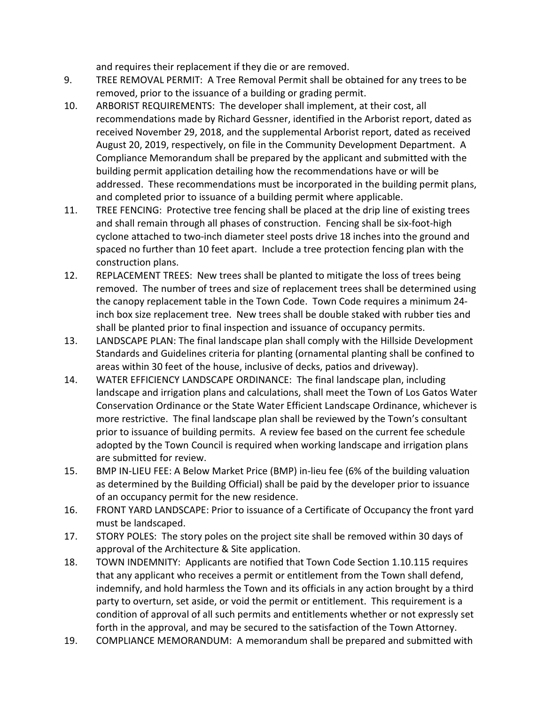and requires their replacement if they die or are removed.

- 9. TREE REMOVAL PERMIT: A Tree Removal Permit shall be obtained for any trees to be removed, prior to the issuance of a building or grading permit.
- 10. ARBORIST REQUIREMENTS: The developer shall implement, at their cost, all recommendations made by Richard Gessner, identified in the Arborist report, dated as received November 29, 2018, and the supplemental Arborist report, dated as received August 20, 2019, respectively, on file in the Community Development Department. A Compliance Memorandum shall be prepared by the applicant and submitted with the building permit application detailing how the recommendations have or will be addressed. These recommendations must be incorporated in the building permit plans, and completed prior to issuance of a building permit where applicable.
- 11. TREE FENCING: Protective tree fencing shall be placed at the drip line of existing trees and shall remain through all phases of construction. Fencing shall be six-foot-high cyclone attached to two-inch diameter steel posts drive 18 inches into the ground and spaced no further than 10 feet apart. Include a tree protection fencing plan with the construction plans.
- 12. REPLACEMENT TREES: New trees shall be planted to mitigate the loss of trees being removed. The number of trees and size of replacement trees shall be determined using the canopy replacement table in the Town Code. Town Code requires a minimum 24 inch box size replacement tree. New trees shall be double staked with rubber ties and shall be planted prior to final inspection and issuance of occupancy permits.
- 13. LANDSCAPE PLAN: The final landscape plan shall comply with the Hillside Development Standards and Guidelines criteria for planting (ornamental planting shall be confined to areas within 30 feet of the house, inclusive of decks, patios and driveway).
- 14. WATER EFFICIENCY LANDSCAPE ORDINANCE: The final landscape plan, including landscape and irrigation plans and calculations, shall meet the Town of Los Gatos Water Conservation Ordinance or the State Water Efficient Landscape Ordinance, whichever is more restrictive. The final landscape plan shall be reviewed by the Town's consultant prior to issuance of building permits. A review fee based on the current fee schedule adopted by the Town Council is required when working landscape and irrigation plans are submitted for review.
- 15. BMP IN-LIEU FEE: A Below Market Price (BMP) in-lieu fee (6% of the building valuation as determined by the Building Official) shall be paid by the developer prior to issuance of an occupancy permit for the new residence.
- 16. FRONT YARD LANDSCAPE: Prior to issuance of a Certificate of Occupancy the front yard must be landscaped.
- 17. STORY POLES: The story poles on the project site shall be removed within 30 days of approval of the Architecture & Site application.
- 18. TOWN INDEMNITY: Applicants are notified that Town Code Section 1.10.115 requires that any applicant who receives a permit or entitlement from the Town shall defend, indemnify, and hold harmless the Town and its officials in any action brought by a third party to overturn, set aside, or void the permit or entitlement. This requirement is a condition of approval of all such permits and entitlements whether or not expressly set forth in the approval, and may be secured to the satisfaction of the Town Attorney.
- 19. COMPLIANCE MEMORANDUM: A memorandum shall be prepared and submitted with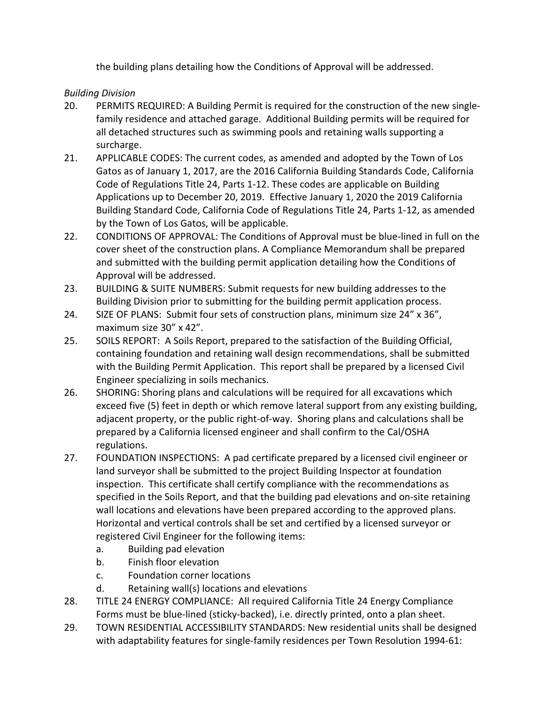the building plans detailing how the Conditions of Approval will be addressed.

# *Building Division*

- 20. PERMITS REQUIRED: A Building Permit is required for the construction of the new singlefamily residence and attached garage. Additional Building permits will be required for all detached structures such as swimming pools and retaining walls supporting a surcharge.
- 21. APPLICABLE CODES: The current codes, as amended and adopted by the Town of Los Gatos as of January 1, 2017, are the 2016 California Building Standards Code, California Code of Regulations Title 24, Parts 1-12. These codes are applicable on Building Applications up to December 20, 2019. Effective January 1, 2020 the 2019 California Building Standard Code, California Code of Regulations Title 24, Parts 1-12, as amended by the Town of Los Gatos, will be applicable.
- 22. CONDITIONS OF APPROVAL: The Conditions of Approval must be blue-lined in full on the cover sheet of the construction plans. A Compliance Memorandum shall be prepared and submitted with the building permit application detailing how the Conditions of Approval will be addressed.
- 23. BUILDING & SUITE NUMBERS: Submit requests for new building addresses to the Building Division prior to submitting for the building permit application process.
- 24. SIZE OF PLANS: Submit four sets of construction plans, minimum size 24" x 36", maximum size 30" x 42".
- 25. SOILS REPORT: A Soils Report, prepared to the satisfaction of the Building Official, containing foundation and retaining wall design recommendations, shall be submitted with the Building Permit Application. This report shall be prepared by a licensed Civil Engineer specializing in soils mechanics.
- 26. SHORING: Shoring plans and calculations will be required for all excavations which exceed five (5) feet in depth or which remove lateral support from any existing building, adjacent property, or the public right-of-way. Shoring plans and calculations shall be prepared by a California licensed engineer and shall confirm to the Cal/OSHA regulations.
- 27. FOUNDATION INSPECTIONS: A pad certificate prepared by a licensed civil engineer or land surveyor shall be submitted to the project Building Inspector at foundation inspection. This certificate shall certify compliance with the recommendations as specified in the Soils Report, and that the building pad elevations and on-site retaining wall locations and elevations have been prepared according to the approved plans. Horizontal and vertical controls shall be set and certified by a licensed surveyor or registered Civil Engineer for the following items:
	- a. Building pad elevation
	- b. Finish floor elevation
	- c. Foundation corner locations
	- d. Retaining wall(s) locations and elevations
- 28. TITLE 24 ENERGY COMPLIANCE: All required California Title 24 Energy Compliance Forms must be blue-lined (sticky-backed), i.e. directly printed, onto a plan sheet.
- 29. TOWN RESIDENTIAL ACCESSIBILITY STANDARDS: New residential units shall be designed with adaptability features for single-family residences per Town Resolution 1994-61: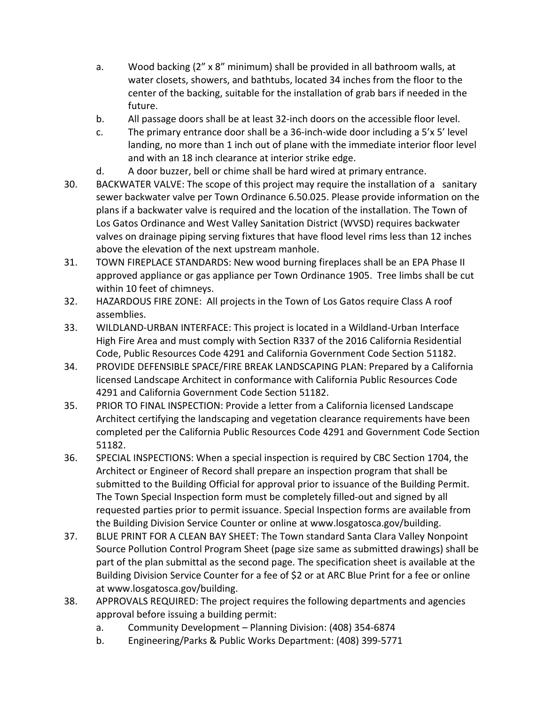- a. Wood backing (2" x 8" minimum) shall be provided in all bathroom walls, at water closets, showers, and bathtubs, located 34 inches from the floor to the center of the backing, suitable for the installation of grab bars if needed in the future.
- b. All passage doors shall be at least 32-inch doors on the accessible floor level.
- c. The primary entrance door shall be a 36-inch-wide door including a 5'x 5' level landing, no more than 1 inch out of plane with the immediate interior floor level and with an 18 inch clearance at interior strike edge.
- d. A door buzzer, bell or chime shall be hard wired at primary entrance.
- 30. BACKWATER VALVE: The scope of this project may require the installation of a sanitary sewer backwater valve per Town Ordinance 6.50.025. Please provide information on the plans if a backwater valve is required and the location of the installation. The Town of Los Gatos Ordinance and West Valley Sanitation District (WVSD) requires backwater valves on drainage piping serving fixtures that have flood level rims less than 12 inches above the elevation of the next upstream manhole.
- 31. TOWN FIREPLACE STANDARDS: New wood burning fireplaces shall be an EPA Phase II approved appliance or gas appliance per Town Ordinance 1905. Tree limbs shall be cut within 10 feet of chimneys.
- 32. HAZARDOUS FIRE ZONE: All projects in the Town of Los Gatos require Class A roof assemblies.
- 33. WILDLAND-URBAN INTERFACE: This project is located in a Wildland-Urban Interface High Fire Area and must comply with Section R337 of the 2016 California Residential Code, Public Resources Code 4291 and California Government Code Section 51182.
- 34. PROVIDE DEFENSIBLE SPACE/FIRE BREAK LANDSCAPING PLAN: Prepared by a California licensed Landscape Architect in conformance with California Public Resources Code 4291 and California Government Code Section 51182.
- 35. PRIOR TO FINAL INSPECTION: Provide a letter from a California licensed Landscape Architect certifying the landscaping and vegetation clearance requirements have been completed per the California Public Resources Code 4291 and Government Code Section 51182.
- 36. SPECIAL INSPECTIONS: When a special inspection is required by CBC Section 1704, the Architect or Engineer of Record shall prepare an inspection program that shall be submitted to the Building Official for approval prior to issuance of the Building Permit. The Town Special Inspection form must be completely filled-out and signed by all requested parties prior to permit issuance. Special Inspection forms are available from the Building Division Service Counter or online at www.losgatosca.gov/building.
- 37. BLUE PRINT FOR A CLEAN BAY SHEET: The Town standard Santa Clara Valley Nonpoint Source Pollution Control Program Sheet (page size same as submitted drawings) shall be part of the plan submittal as the second page. The specification sheet is available at the Building Division Service Counter for a fee of \$2 or at ARC Blue Print for a fee or online at www.losgatosca.gov/building.
- 38. APPROVALS REQUIRED: The project requires the following departments and agencies approval before issuing a building permit:
	- a. Community Development Planning Division: (408) 354-6874
	- b. Engineering/Parks & Public Works Department: (408) 399-5771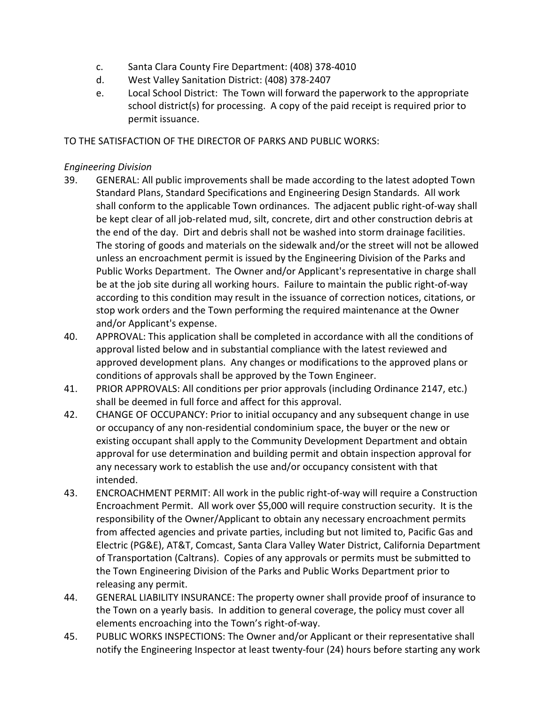- c. Santa Clara County Fire Department: (408) 378-4010
- d. West Valley Sanitation District: (408) 378-2407
- e. Local School District: The Town will forward the paperwork to the appropriate school district(s) for processing. A copy of the paid receipt is required prior to permit issuance.

### TO THE SATISFACTION OF THE DIRECTOR OF PARKS AND PUBLIC WORKS:

### *Engineering Division*

- 39. GENERAL: All public improvements shall be made according to the latest adopted Town Standard Plans, Standard Specifications and Engineering Design Standards. All work shall conform to the applicable Town ordinances. The adjacent public right-of-way shall be kept clear of all job-related mud, silt, concrete, dirt and other construction debris at the end of the day. Dirt and debris shall not be washed into storm drainage facilities. The storing of goods and materials on the sidewalk and/or the street will not be allowed unless an encroachment permit is issued by the Engineering Division of the Parks and Public Works Department. The Owner and/or Applicant's representative in charge shall be at the job site during all working hours. Failure to maintain the public right-of-way according to this condition may result in the issuance of correction notices, citations, or stop work orders and the Town performing the required maintenance at the Owner and/or Applicant's expense.
- 40. APPROVAL: This application shall be completed in accordance with all the conditions of approval listed below and in substantial compliance with the latest reviewed and approved development plans. Any changes or modifications to the approved plans or conditions of approvals shall be approved by the Town Engineer.
- 41. PRIOR APPROVALS: All conditions per prior approvals (including Ordinance 2147, etc.) shall be deemed in full force and affect for this approval.
- 42. CHANGE OF OCCUPANCY: Prior to initial occupancy and any subsequent change in use or occupancy of any non-residential condominium space, the buyer or the new or existing occupant shall apply to the Community Development Department and obtain approval for use determination and building permit and obtain inspection approval for any necessary work to establish the use and/or occupancy consistent with that intended.
- 43. ENCROACHMENT PERMIT: All work in the public right-of-way will require a Construction Encroachment Permit. All work over \$5,000 will require construction security. It is the responsibility of the Owner/Applicant to obtain any necessary encroachment permits from affected agencies and private parties, including but not limited to, Pacific Gas and Electric (PG&E), AT&T, Comcast, Santa Clara Valley Water District, California Department of Transportation (Caltrans). Copies of any approvals or permits must be submitted to the Town Engineering Division of the Parks and Public Works Department prior to releasing any permit.
- 44. GENERAL LIABILITY INSURANCE: The property owner shall provide proof of insurance to the Town on a yearly basis. In addition to general coverage, the policy must cover all elements encroaching into the Town's right-of-way.
- 45. PUBLIC WORKS INSPECTIONS: The Owner and/or Applicant or their representative shall notify the Engineering Inspector at least twenty-four (24) hours before starting any work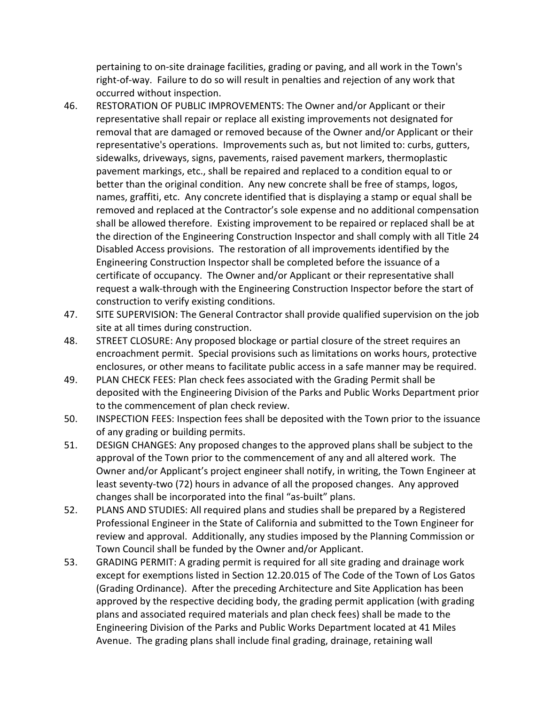pertaining to on-site drainage facilities, grading or paving, and all work in the Town's right-of-way. Failure to do so will result in penalties and rejection of any work that occurred without inspection.

- 46. RESTORATION OF PUBLIC IMPROVEMENTS: The Owner and/or Applicant or their representative shall repair or replace all existing improvements not designated for removal that are damaged or removed because of the Owner and/or Applicant or their representative's operations. Improvements such as, but not limited to: curbs, gutters, sidewalks, driveways, signs, pavements, raised pavement markers, thermoplastic pavement markings, etc., shall be repaired and replaced to a condition equal to or better than the original condition. Any new concrete shall be free of stamps, logos, names, graffiti, etc. Any concrete identified that is displaying a stamp or equal shall be removed and replaced at the Contractor's sole expense and no additional compensation shall be allowed therefore. Existing improvement to be repaired or replaced shall be at the direction of the Engineering Construction Inspector and shall comply with all Title 24 Disabled Access provisions. The restoration of all improvements identified by the Engineering Construction Inspector shall be completed before the issuance of a certificate of occupancy. The Owner and/or Applicant or their representative shall request a walk-through with the Engineering Construction Inspector before the start of construction to verify existing conditions.
- 47. SITE SUPERVISION: The General Contractor shall provide qualified supervision on the job site at all times during construction.
- 48. STREET CLOSURE: Any proposed blockage or partial closure of the street requires an encroachment permit. Special provisions such as limitations on works hours, protective enclosures, or other means to facilitate public access in a safe manner may be required.
- 49. PLAN CHECK FEES: Plan check fees associated with the Grading Permit shall be deposited with the Engineering Division of the Parks and Public Works Department prior to the commencement of plan check review.
- 50. INSPECTION FEES: Inspection fees shall be deposited with the Town prior to the issuance of any grading or building permits.
- 51. DESIGN CHANGES: Any proposed changes to the approved plans shall be subject to the approval of the Town prior to the commencement of any and all altered work. The Owner and/or Applicant's project engineer shall notify, in writing, the Town Engineer at least seventy-two (72) hours in advance of all the proposed changes. Any approved changes shall be incorporated into the final "as-built" plans.
- 52. PLANS AND STUDIES: All required plans and studies shall be prepared by a Registered Professional Engineer in the State of California and submitted to the Town Engineer for review and approval. Additionally, any studies imposed by the Planning Commission or Town Council shall be funded by the Owner and/or Applicant.
- 53. GRADING PERMIT: A grading permit is required for all site grading and drainage work except for exemptions listed in Section 12.20.015 of The Code of the Town of Los Gatos (Grading Ordinance). After the preceding Architecture and Site Application has been approved by the respective deciding body, the grading permit application (with grading plans and associated required materials and plan check fees) shall be made to the Engineering Division of the Parks and Public Works Department located at 41 Miles Avenue. The grading plans shall include final grading, drainage, retaining wall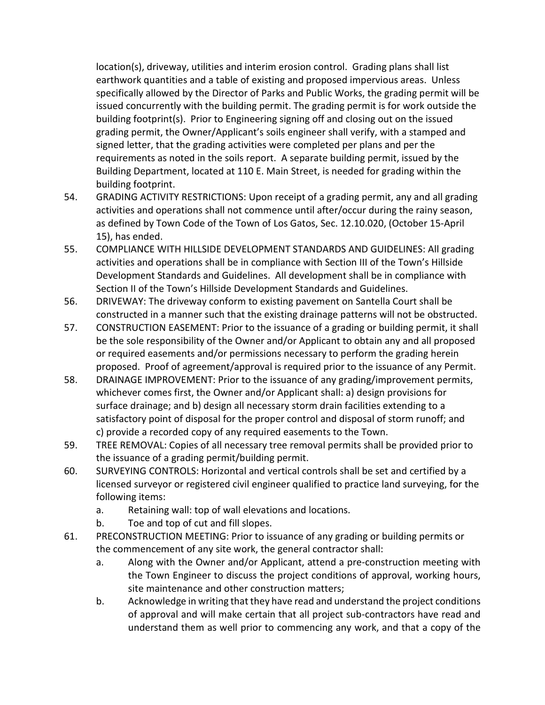location(s), driveway, utilities and interim erosion control. Grading plans shall list earthwork quantities and a table of existing and proposed impervious areas. Unless specifically allowed by the Director of Parks and Public Works, the grading permit will be issued concurrently with the building permit. The grading permit is for work outside the building footprint(s). Prior to Engineering signing off and closing out on the issued grading permit, the Owner/Applicant's soils engineer shall verify, with a stamped and signed letter, that the grading activities were completed per plans and per the requirements as noted in the soils report. A separate building permit, issued by the Building Department, located at 110 E. Main Street, is needed for grading within the building footprint.

- 54. GRADING ACTIVITY RESTRICTIONS: Upon receipt of a grading permit, any and all grading activities and operations shall not commence until after/occur during the rainy season, as defined by Town Code of the Town of Los Gatos, Sec. 12.10.020, (October 15-April 15), has ended.
- 55. COMPLIANCE WITH HILLSIDE DEVELOPMENT STANDARDS AND GUIDELINES: All grading activities and operations shall be in compliance with Section III of the Town's Hillside Development Standards and Guidelines. All development shall be in compliance with Section II of the Town's Hillside Development Standards and Guidelines.
- 56. DRIVEWAY: The driveway conform to existing pavement on Santella Court shall be constructed in a manner such that the existing drainage patterns will not be obstructed.
- 57. CONSTRUCTION EASEMENT: Prior to the issuance of a grading or building permit, it shall be the sole responsibility of the Owner and/or Applicant to obtain any and all proposed or required easements and/or permissions necessary to perform the grading herein proposed. Proof of agreement/approval is required prior to the issuance of any Permit.
- 58. DRAINAGE IMPROVEMENT: Prior to the issuance of any grading/improvement permits, whichever comes first, the Owner and/or Applicant shall: a) design provisions for surface drainage; and b) design all necessary storm drain facilities extending to a satisfactory point of disposal for the proper control and disposal of storm runoff; and c) provide a recorded copy of any required easements to the Town.
- 59. TREE REMOVAL: Copies of all necessary tree removal permits shall be provided prior to the issuance of a grading permit/building permit.
- 60. SURVEYING CONTROLS: Horizontal and vertical controls shall be set and certified by a licensed surveyor or registered civil engineer qualified to practice land surveying, for the following items:
	- a. Retaining wall: top of wall elevations and locations.
	- b. Toe and top of cut and fill slopes.
- 61. PRECONSTRUCTION MEETING: Prior to issuance of any grading or building permits or the commencement of any site work, the general contractor shall:
	- a. Along with the Owner and/or Applicant, attend a pre-construction meeting with the Town Engineer to discuss the project conditions of approval, working hours, site maintenance and other construction matters;
	- b. Acknowledge in writing that they have read and understand the project conditions of approval and will make certain that all project sub-contractors have read and understand them as well prior to commencing any work, and that a copy of the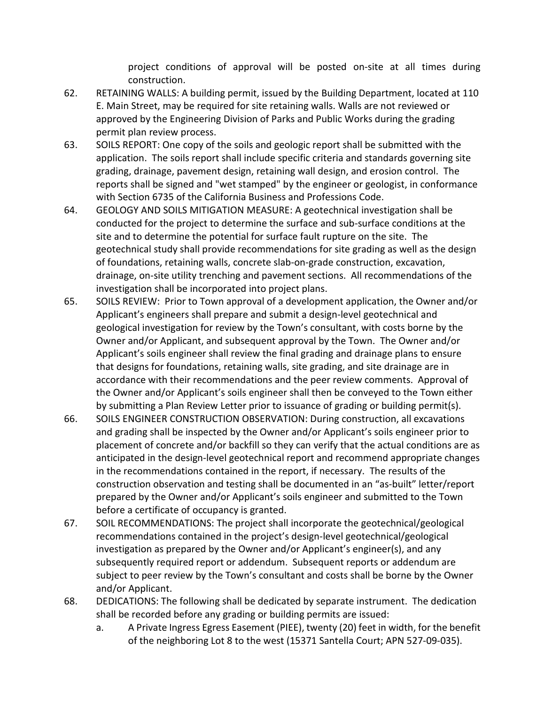project conditions of approval will be posted on-site at all times during construction.

- 62. RETAINING WALLS: A building permit, issued by the Building Department, located at 110 E. Main Street, may be required for site retaining walls. Walls are not reviewed or approved by the Engineering Division of Parks and Public Works during the grading permit plan review process.
- 63. SOILS REPORT: One copy of the soils and geologic report shall be submitted with the application. The soils report shall include specific criteria and standards governing site grading, drainage, pavement design, retaining wall design, and erosion control. The reports shall be signed and "wet stamped" by the engineer or geologist, in conformance with Section 6735 of the California Business and Professions Code.
- 64. GEOLOGY AND SOILS MITIGATION MEASURE: A geotechnical investigation shall be conducted for the project to determine the surface and sub-surface conditions at the site and to determine the potential for surface fault rupture on the site. The geotechnical study shall provide recommendations for site grading as well as the design of foundations, retaining walls, concrete slab-on-grade construction, excavation, drainage, on-site utility trenching and pavement sections. All recommendations of the investigation shall be incorporated into project plans.
- 65. SOILS REVIEW: Prior to Town approval of a development application, the Owner and/or Applicant's engineers shall prepare and submit a design-level geotechnical and geological investigation for review by the Town's consultant, with costs borne by the Owner and/or Applicant, and subsequent approval by the Town. The Owner and/or Applicant's soils engineer shall review the final grading and drainage plans to ensure that designs for foundations, retaining walls, site grading, and site drainage are in accordance with their recommendations and the peer review comments. Approval of the Owner and/or Applicant's soils engineer shall then be conveyed to the Town either by submitting a Plan Review Letter prior to issuance of grading or building permit(s).
- 66. SOILS ENGINEER CONSTRUCTION OBSERVATION: During construction, all excavations and grading shall be inspected by the Owner and/or Applicant's soils engineer prior to placement of concrete and/or backfill so they can verify that the actual conditions are as anticipated in the design-level geotechnical report and recommend appropriate changes in the recommendations contained in the report, if necessary. The results of the construction observation and testing shall be documented in an "as-built" letter/report prepared by the Owner and/or Applicant's soils engineer and submitted to the Town before a certificate of occupancy is granted.
- 67. SOIL RECOMMENDATIONS: The project shall incorporate the geotechnical/geological recommendations contained in the project's design-level geotechnical/geological investigation as prepared by the Owner and/or Applicant's engineer(s), and any subsequently required report or addendum. Subsequent reports or addendum are subject to peer review by the Town's consultant and costs shall be borne by the Owner and/or Applicant.
- 68. DEDICATIONS: The following shall be dedicated by separate instrument. The dedication shall be recorded before any grading or building permits are issued:
	- a. A Private Ingress Egress Easement (PIEE), twenty (20) feet in width, for the benefit of the neighboring Lot 8 to the west (15371 Santella Court; APN 527-09-035).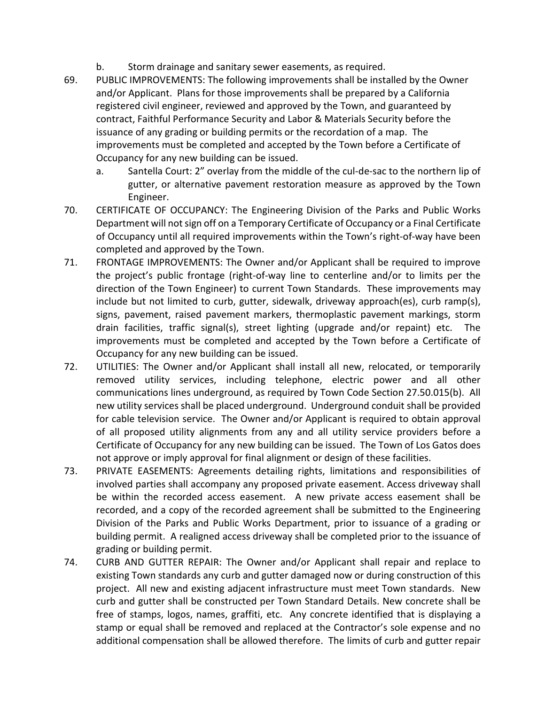- b. Storm drainage and sanitary sewer easements, as required.
- 69. PUBLIC IMPROVEMENTS: The following improvements shall be installed by the Owner and/or Applicant. Plans for those improvements shall be prepared by a California registered civil engineer, reviewed and approved by the Town, and guaranteed by contract, Faithful Performance Security and Labor & Materials Security before the issuance of any grading or building permits or the recordation of a map. The improvements must be completed and accepted by the Town before a Certificate of Occupancy for any new building can be issued.
	- a. Santella Court: 2" overlay from the middle of the cul-de-sac to the northern lip of gutter, or alternative pavement restoration measure as approved by the Town Engineer.
- 70. CERTIFICATE OF OCCUPANCY: The Engineering Division of the Parks and Public Works Department will not sign off on a Temporary Certificate of Occupancy or a Final Certificate of Occupancy until all required improvements within the Town's right-of-way have been completed and approved by the Town.
- 71. FRONTAGE IMPROVEMENTS: The Owner and/or Applicant shall be required to improve the project's public frontage (right-of-way line to centerline and/or to limits per the direction of the Town Engineer) to current Town Standards. These improvements may include but not limited to curb, gutter, sidewalk, driveway approach(es), curb ramp(s), signs, pavement, raised pavement markers, thermoplastic pavement markings, storm drain facilities, traffic signal(s), street lighting (upgrade and/or repaint) etc. The improvements must be completed and accepted by the Town before a Certificate of Occupancy for any new building can be issued.
- 72. UTILITIES: The Owner and/or Applicant shall install all new, relocated, or temporarily removed utility services, including telephone, electric power and all other communications lines underground, as required by Town Code Section 27.50.015(b). All new utility services shall be placed underground. Underground conduit shall be provided for cable television service. The Owner and/or Applicant is required to obtain approval of all proposed utility alignments from any and all utility service providers before a Certificate of Occupancy for any new building can be issued. The Town of Los Gatos does not approve or imply approval for final alignment or design of these facilities.
- 73. PRIVATE EASEMENTS: Agreements detailing rights, limitations and responsibilities of involved parties shall accompany any proposed private easement. Access driveway shall be within the recorded access easement. A new private access easement shall be recorded, and a copy of the recorded agreement shall be submitted to the Engineering Division of the Parks and Public Works Department, prior to issuance of a grading or building permit. A realigned access driveway shall be completed prior to the issuance of grading or building permit.
- 74. CURB AND GUTTER REPAIR: The Owner and/or Applicant shall repair and replace to existing Town standards any curb and gutter damaged now or during construction of this project. All new and existing adjacent infrastructure must meet Town standards. New curb and gutter shall be constructed per Town Standard Details. New concrete shall be free of stamps, logos, names, graffiti, etc. Any concrete identified that is displaying a stamp or equal shall be removed and replaced at the Contractor's sole expense and no additional compensation shall be allowed therefore. The limits of curb and gutter repair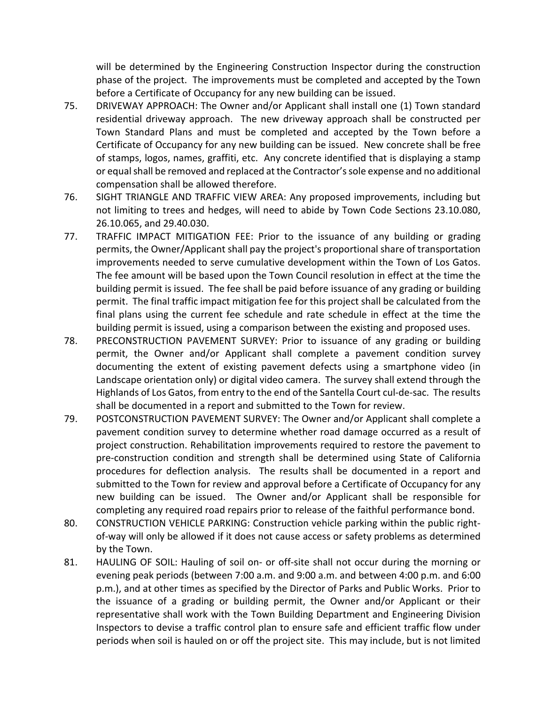will be determined by the Engineering Construction Inspector during the construction phase of the project. The improvements must be completed and accepted by the Town before a Certificate of Occupancy for any new building can be issued.

- 75. DRIVEWAY APPROACH: The Owner and/or Applicant shall install one (1) Town standard residential driveway approach. The new driveway approach shall be constructed per Town Standard Plans and must be completed and accepted by the Town before a Certificate of Occupancy for any new building can be issued. New concrete shall be free of stamps, logos, names, graffiti, etc. Any concrete identified that is displaying a stamp or equal shall be removed and replaced at the Contractor's sole expense and no additional compensation shall be allowed therefore.
- 76. SIGHT TRIANGLE AND TRAFFIC VIEW AREA: Any proposed improvements, including but not limiting to trees and hedges, will need to abide by Town Code Sections 23.10.080, 26.10.065, and 29.40.030.
- 77. TRAFFIC IMPACT MITIGATION FEE: Prior to the issuance of any building or grading permits, the Owner/Applicant shall pay the project's proportional share of transportation improvements needed to serve cumulative development within the Town of Los Gatos. The fee amount will be based upon the Town Council resolution in effect at the time the building permit is issued. The fee shall be paid before issuance of any grading or building permit. The final traffic impact mitigation fee for this project shall be calculated from the final plans using the current fee schedule and rate schedule in effect at the time the building permit is issued, using a comparison between the existing and proposed uses.
- 78. PRECONSTRUCTION PAVEMENT SURVEY: Prior to issuance of any grading or building permit, the Owner and/or Applicant shall complete a pavement condition survey documenting the extent of existing pavement defects using a smartphone video (in Landscape orientation only) or digital video camera. The survey shall extend through the Highlands of Los Gatos, from entry to the end of the Santella Court cul-de-sac. The results shall be documented in a report and submitted to the Town for review.
- 79. POSTCONSTRUCTION PAVEMENT SURVEY: The Owner and/or Applicant shall complete a pavement condition survey to determine whether road damage occurred as a result of project construction. Rehabilitation improvements required to restore the pavement to pre-construction condition and strength shall be determined using State of California procedures for deflection analysis. The results shall be documented in a report and submitted to the Town for review and approval before a Certificate of Occupancy for any new building can be issued. The Owner and/or Applicant shall be responsible for completing any required road repairs prior to release of the faithful performance bond.
- 80. CONSTRUCTION VEHICLE PARKING: Construction vehicle parking within the public rightof-way will only be allowed if it does not cause access or safety problems as determined by the Town.
- 81. HAULING OF SOIL: Hauling of soil on- or off-site shall not occur during the morning or evening peak periods (between 7:00 a.m. and 9:00 a.m. and between 4:00 p.m. and 6:00 p.m.), and at other times as specified by the Director of Parks and Public Works. Prior to the issuance of a grading or building permit, the Owner and/or Applicant or their representative shall work with the Town Building Department and Engineering Division Inspectors to devise a traffic control plan to ensure safe and efficient traffic flow under periods when soil is hauled on or off the project site. This may include, but is not limited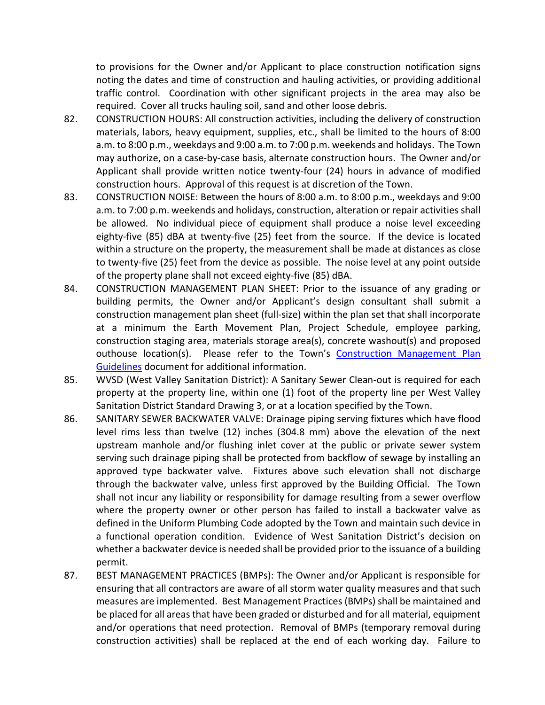to provisions for the Owner and/or Applicant to place construction notification signs noting the dates and time of construction and hauling activities, or providing additional traffic control. Coordination with other significant projects in the area may also be required. Cover all trucks hauling soil, sand and other loose debris.

- 82. CONSTRUCTION HOURS: All construction activities, including the delivery of construction materials, labors, heavy equipment, supplies, etc., shall be limited to the hours of 8:00 a.m. to 8:00 p.m., weekdays and 9:00 a.m. to 7:00 p.m. weekends and holidays. The Town may authorize, on a case-by-case basis, alternate construction hours. The Owner and/or Applicant shall provide written notice twenty-four (24) hours in advance of modified construction hours. Approval of this request is at discretion of the Town.
- 83. CONSTRUCTION NOISE: Between the hours of 8:00 a.m. to 8:00 p.m., weekdays and 9:00 a.m. to 7:00 p.m. weekends and holidays, construction, alteration or repair activities shall be allowed. No individual piece of equipment shall produce a noise level exceeding eighty-five (85) dBA at twenty-five (25) feet from the source. If the device is located within a structure on the property, the measurement shall be made at distances as close to twenty-five (25) feet from the device as possible. The noise level at any point outside of the property plane shall not exceed eighty-five (85) dBA.
- 84. CONSTRUCTION MANAGEMENT PLAN SHEET: Prior to the issuance of any grading or building permits, the Owner and/or Applicant's design consultant shall submit a construction management plan sheet (full-size) within the plan set that shall incorporate at a minimum the Earth Movement Plan, Project Schedule, employee parking, construction staging area, materials storage area(s), concrete washout(s) and proposed outhouse location(s). Please refer to the Town's [Construction Management Plan](http://www.losgatosca.gov/DocumentCenter/View/17600)  [Guidelines](http://www.losgatosca.gov/DocumentCenter/View/17600) document for additional information.
- 85. WVSD (West Valley Sanitation District): A Sanitary Sewer Clean-out is required for each property at the property line, within one (1) foot of the property line per West Valley Sanitation District Standard Drawing 3, or at a location specified by the Town.
- 86. SANITARY SEWER BACKWATER VALVE: Drainage piping serving fixtures which have flood level rims less than twelve (12) inches (304.8 mm) above the elevation of the next upstream manhole and/or flushing inlet cover at the public or private sewer system serving such drainage piping shall be protected from backflow of sewage by installing an approved type backwater valve. Fixtures above such elevation shall not discharge through the backwater valve, unless first approved by the Building Official. The Town shall not incur any liability or responsibility for damage resulting from a sewer overflow where the property owner or other person has failed to install a backwater valve as defined in the Uniform Plumbing Code adopted by the Town and maintain such device in a functional operation condition. Evidence of West Sanitation District's decision on whether a backwater device is needed shall be provided prior to the issuance of a building permit.
- 87. BEST MANAGEMENT PRACTICES (BMPs): The Owner and/or Applicant is responsible for ensuring that all contractors are aware of all storm water quality measures and that such measures are implemented. Best Management Practices (BMPs) shall be maintained and be placed for all areas that have been graded or disturbed and for all material, equipment and/or operations that need protection. Removal of BMPs (temporary removal during construction activities) shall be replaced at the end of each working day. Failure to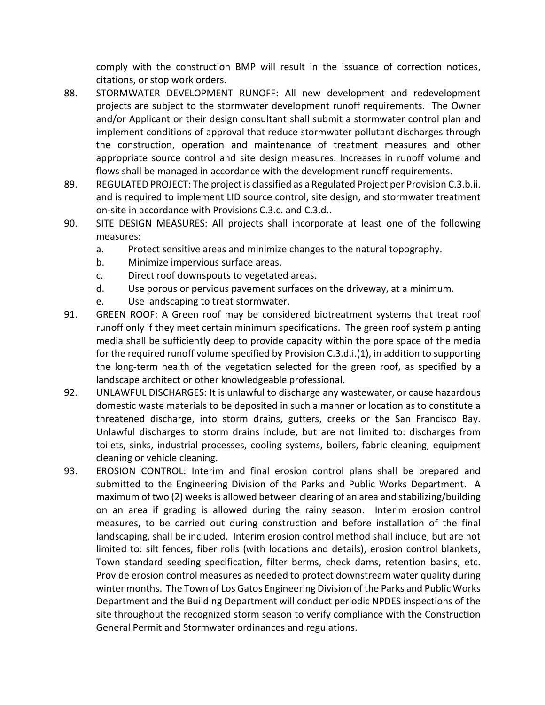comply with the construction BMP will result in the issuance of correction notices, citations, or stop work orders.

- 88. STORMWATER DEVELOPMENT RUNOFF: All new development and redevelopment projects are subject to the stormwater development runoff requirements. The Owner and/or Applicant or their design consultant shall submit a stormwater control plan and implement conditions of approval that reduce stormwater pollutant discharges through the construction, operation and maintenance of treatment measures and other appropriate source control and site design measures. Increases in runoff volume and flows shall be managed in accordance with the development runoff requirements.
- 89. REGULATED PROJECT: The project is classified as a Regulated Project per Provision C.3.b.ii. and is required to implement LID source control, site design, and stormwater treatment on-site in accordance with Provisions C.3.c. and C.3.d..
- 90. SITE DESIGN MEASURES: All projects shall incorporate at least one of the following measures:
	- a. Protect sensitive areas and minimize changes to the natural topography.
	- b. Minimize impervious surface areas.
	- c. Direct roof downspouts to vegetated areas.
	- d. Use porous or pervious pavement surfaces on the driveway, at a minimum.
	- e. Use landscaping to treat stormwater.
- 91. GREEN ROOF: A Green roof may be considered biotreatment systems that treat roof runoff only if they meet certain minimum specifications. The green roof system planting media shall be sufficiently deep to provide capacity within the pore space of the media for the required runoff volume specified by Provision C.3.d.i.(1), in addition to supporting the long-term health of the vegetation selected for the green roof, as specified by a landscape architect or other knowledgeable professional.
- 92. UNLAWFUL DISCHARGES: It is unlawful to discharge any wastewater, or cause hazardous domestic waste materials to be deposited in such a manner or location as to constitute a threatened discharge, into storm drains, gutters, creeks or the San Francisco Bay. Unlawful discharges to storm drains include, but are not limited to: discharges from toilets, sinks, industrial processes, cooling systems, boilers, fabric cleaning, equipment cleaning or vehicle cleaning.
- 93. EROSION CONTROL: Interim and final erosion control plans shall be prepared and submitted to the Engineering Division of the Parks and Public Works Department. A maximum of two (2) weeks is allowed between clearing of an area and stabilizing/building on an area if grading is allowed during the rainy season. Interim erosion control measures, to be carried out during construction and before installation of the final landscaping, shall be included. Interim erosion control method shall include, but are not limited to: silt fences, fiber rolls (with locations and details), erosion control blankets, Town standard seeding specification, filter berms, check dams, retention basins, etc. Provide erosion control measures as needed to protect downstream water quality during winter months. The Town of Los Gatos Engineering Division of the Parks and Public Works Department and the Building Department will conduct periodic NPDES inspections of the site throughout the recognized storm season to verify compliance with the Construction General Permit and Stormwater ordinances and regulations.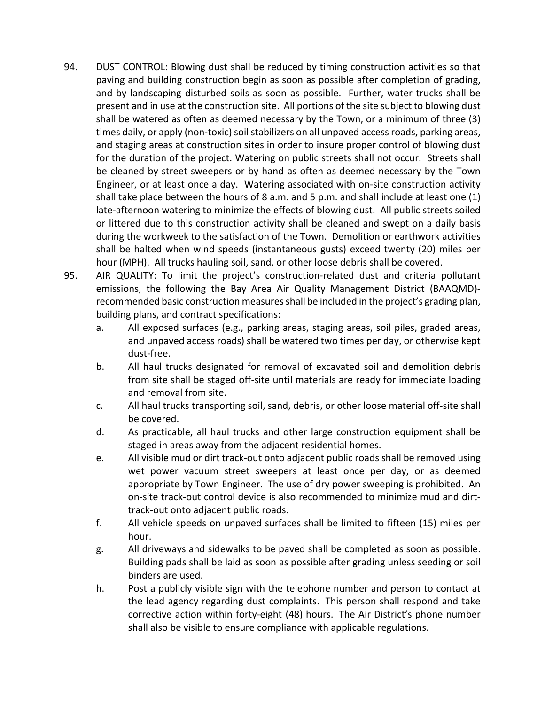- 94. DUST CONTROL: Blowing dust shall be reduced by timing construction activities so that paving and building construction begin as soon as possible after completion of grading, and by landscaping disturbed soils as soon as possible. Further, water trucks shall be present and in use at the construction site. All portions of the site subject to blowing dust shall be watered as often as deemed necessary by the Town, or a minimum of three (3) times daily, or apply (non-toxic) soil stabilizers on all unpaved access roads, parking areas, and staging areas at construction sites in order to insure proper control of blowing dust for the duration of the project. Watering on public streets shall not occur. Streets shall be cleaned by street sweepers or by hand as often as deemed necessary by the Town Engineer, or at least once a day. Watering associated with on-site construction activity shall take place between the hours of 8 a.m. and 5 p.m. and shall include at least one (1) late-afternoon watering to minimize the effects of blowing dust. All public streets soiled or littered due to this construction activity shall be cleaned and swept on a daily basis during the workweek to the satisfaction of the Town. Demolition or earthwork activities shall be halted when wind speeds (instantaneous gusts) exceed twenty (20) miles per hour (MPH). All trucks hauling soil, sand, or other loose debris shall be covered.
- 95. AIR QUALITY: To limit the project's construction-related dust and criteria pollutant emissions, the following the Bay Area Air Quality Management District (BAAQMD) recommended basic construction measures shall be included in the project's grading plan, building plans, and contract specifications:
	- a. All exposed surfaces (e.g., parking areas, staging areas, soil piles, graded areas, and unpaved access roads) shall be watered two times per day, or otherwise kept dust-free.
	- b. All haul trucks designated for removal of excavated soil and demolition debris from site shall be staged off-site until materials are ready for immediate loading and removal from site.
	- c. All haul trucks transporting soil, sand, debris, or other loose material off-site shall be covered.
	- d. As practicable, all haul trucks and other large construction equipment shall be staged in areas away from the adjacent residential homes.
	- e. All visible mud or dirt track-out onto adjacent public roads shall be removed using wet power vacuum street sweepers at least once per day, or as deemed appropriate by Town Engineer. The use of dry power sweeping is prohibited. An on-site track-out control device is also recommended to minimize mud and dirttrack-out onto adjacent public roads.
	- f. All vehicle speeds on unpaved surfaces shall be limited to fifteen (15) miles per hour.
	- g. All driveways and sidewalks to be paved shall be completed as soon as possible. Building pads shall be laid as soon as possible after grading unless seeding or soil binders are used.
	- h. Post a publicly visible sign with the telephone number and person to contact at the lead agency regarding dust complaints. This person shall respond and take corrective action within forty-eight (48) hours. The Air District's phone number shall also be visible to ensure compliance with applicable regulations.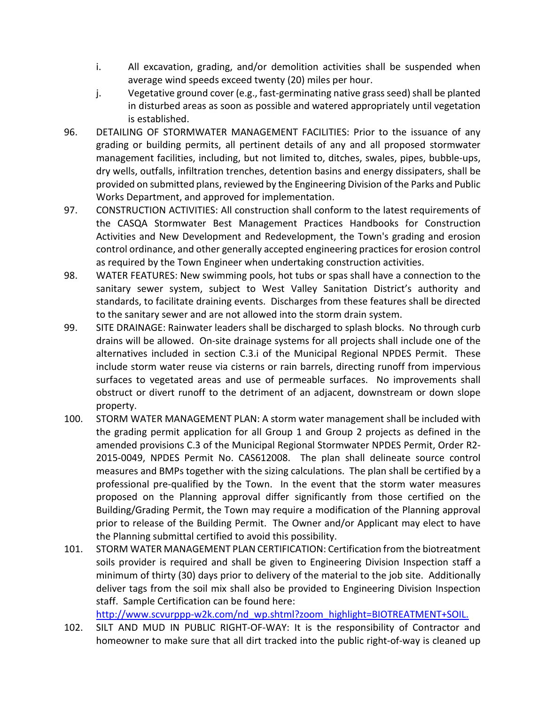- i. All excavation, grading, and/or demolition activities shall be suspended when average wind speeds exceed twenty (20) miles per hour.
- j. Vegetative ground cover (e.g., fast-germinating native grass seed) shall be planted in disturbed areas as soon as possible and watered appropriately until vegetation is established.
- 96. DETAILING OF STORMWATER MANAGEMENT FACILITIES: Prior to the issuance of any grading or building permits, all pertinent details of any and all proposed stormwater management facilities, including, but not limited to, ditches, swales, pipes, bubble-ups, dry wells, outfalls, infiltration trenches, detention basins and energy dissipaters, shall be provided on submitted plans, reviewed by the Engineering Division of the Parks and Public Works Department, and approved for implementation.
- 97. CONSTRUCTION ACTIVITIES: All construction shall conform to the latest requirements of the CASQA Stormwater Best Management Practices Handbooks for Construction Activities and New Development and Redevelopment, the Town's grading and erosion control ordinance, and other generally accepted engineering practices for erosion control as required by the Town Engineer when undertaking construction activities.
- 98. WATER FEATURES: New swimming pools, hot tubs or spas shall have a connection to the sanitary sewer system, subject to West Valley Sanitation District's authority and standards, to facilitate draining events. Discharges from these features shall be directed to the sanitary sewer and are not allowed into the storm drain system.
- 99. SITE DRAINAGE: Rainwater leaders shall be discharged to splash blocks. No through curb drains will be allowed. On-site drainage systems for all projects shall include one of the alternatives included in section C.3.i of the Municipal Regional NPDES Permit. These include storm water reuse via cisterns or rain barrels, directing runoff from impervious surfaces to vegetated areas and use of permeable surfaces. No improvements shall obstruct or divert runoff to the detriment of an adjacent, downstream or down slope property.
- 100. STORM WATER MANAGEMENT PLAN: A storm water management shall be included with the grading permit application for all Group 1 and Group 2 projects as defined in the amended provisions C.3 of the Municipal Regional Stormwater NPDES Permit, Order R2- 2015-0049, NPDES Permit No. CAS612008. The plan shall delineate source control measures and BMPs together with the sizing calculations. The plan shall be certified by a professional pre-qualified by the Town. In the event that the storm water measures proposed on the Planning approval differ significantly from those certified on the Building/Grading Permit, the Town may require a modification of the Planning approval prior to release of the Building Permit. The Owner and/or Applicant may elect to have the Planning submittal certified to avoid this possibility.
- 101. STORM WATER MANAGEMENT PLAN CERTIFICATION: Certification from the biotreatment soils provider is required and shall be given to Engineering Division Inspection staff a minimum of thirty (30) days prior to delivery of the material to the job site. Additionally deliver tags from the soil mix shall also be provided to Engineering Division Inspection staff. Sample Certification can be found here:

[http://www.scvurppp-w2k.com/nd\\_wp.shtml?zoom\\_highlight=BIOTREATMENT+SOIL.](http://www.scvurppp-w2k.com/nd_wp.shtml?zoom_highlight=BIOTREATMENT+SOIL)

102. SILT AND MUD IN PUBLIC RIGHT-OF-WAY: It is the responsibility of Contractor and homeowner to make sure that all dirt tracked into the public right-of-way is cleaned up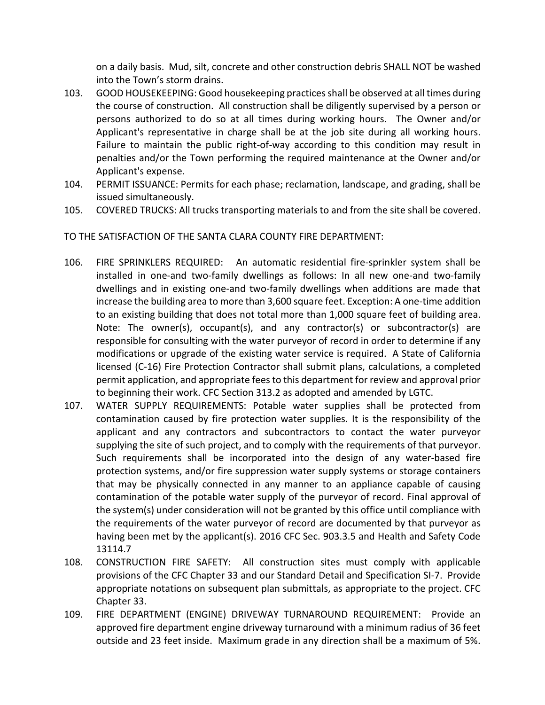on a daily basis. Mud, silt, concrete and other construction debris SHALL NOT be washed into the Town's storm drains.

- 103. GOOD HOUSEKEEPING: Good housekeeping practices shall be observed at all times during the course of construction. All construction shall be diligently supervised by a person or persons authorized to do so at all times during working hours. The Owner and/or Applicant's representative in charge shall be at the job site during all working hours. Failure to maintain the public right-of-way according to this condition may result in penalties and/or the Town performing the required maintenance at the Owner and/or Applicant's expense.
- 104. PERMIT ISSUANCE: Permits for each phase; reclamation, landscape, and grading, shall be issued simultaneously.
- 105. COVERED TRUCKS: All trucks transporting materials to and from the site shall be covered.

TO THE SATISFACTION OF THE SANTA CLARA COUNTY FIRE DEPARTMENT:

- 106. FIRE SPRINKLERS REQUIRED: An automatic residential fire-sprinkler system shall be installed in one-and two-family dwellings as follows: In all new one-and two-family dwellings and in existing one-and two-family dwellings when additions are made that increase the building area to more than 3,600 square feet. Exception: A one-time addition to an existing building that does not total more than 1,000 square feet of building area. Note: The owner(s), occupant(s), and any contractor(s) or subcontractor(s) are responsible for consulting with the water purveyor of record in order to determine if any modifications or upgrade of the existing water service is required. A State of California licensed (C-16) Fire Protection Contractor shall submit plans, calculations, a completed permit application, and appropriate fees to this department for review and approval prior to beginning their work. CFC Section 313.2 as adopted and amended by LGTC.
- 107. WATER SUPPLY REQUIREMENTS: Potable water supplies shall be protected from contamination caused by fire protection water supplies. It is the responsibility of the applicant and any contractors and subcontractors to contact the water purveyor supplying the site of such project, and to comply with the requirements of that purveyor. Such requirements shall be incorporated into the design of any water-based fire protection systems, and/or fire suppression water supply systems or storage containers that may be physically connected in any manner to an appliance capable of causing contamination of the potable water supply of the purveyor of record. Final approval of the system(s) under consideration will not be granted by this office until compliance with the requirements of the water purveyor of record are documented by that purveyor as having been met by the applicant(s). 2016 CFC Sec. 903.3.5 and Health and Safety Code 13114.7
- 108. CONSTRUCTION FIRE SAFETY: All construction sites must comply with applicable provisions of the CFC Chapter 33 and our Standard Detail and Specification SI-7. Provide appropriate notations on subsequent plan submittals, as appropriate to the project. CFC Chapter 33.
- 109. FIRE DEPARTMENT (ENGINE) DRIVEWAY TURNAROUND REQUIREMENT: Provide an approved fire department engine driveway turnaround with a minimum radius of 36 feet outside and 23 feet inside. Maximum grade in any direction shall be a maximum of 5%.